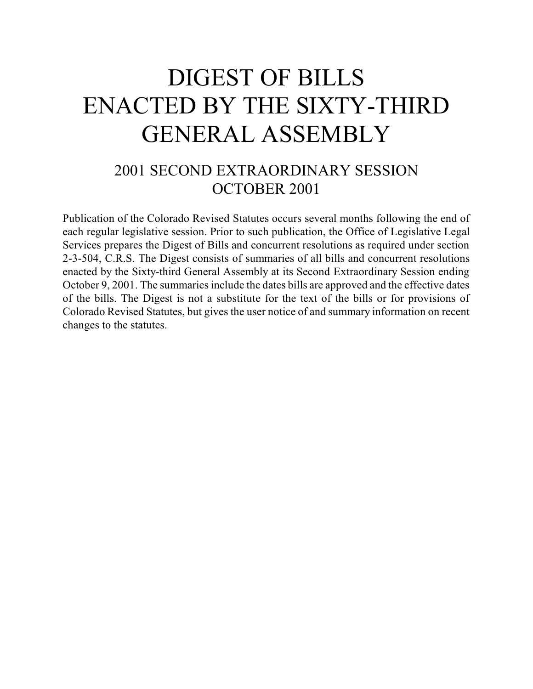# DIGEST OF BILLS ENACTED BY THE SIXTY-THIRD GENERAL ASSEMBLY

# 2001 SECOND EXTRAORDINARY SESSION OCTOBER 2001

Publication of the Colorado Revised Statutes occurs several months following the end of each regular legislative session. Prior to such publication, the Office of Legislative Legal Services prepares the Digest of Bills and concurrent resolutions as required under section 2-3-504, C.R.S. The Digest consists of summaries of all bills and concurrent resolutions enacted by the Sixty-third General Assembly at its Second Extraordinary Session ending October 9, 2001. The summaries include the dates bills are approved and the effective dates of the bills. The Digest is not a substitute for the text of the bills or for provisions of Colorado Revised Statutes, but gives the user notice of and summary information on recent changes to the statutes.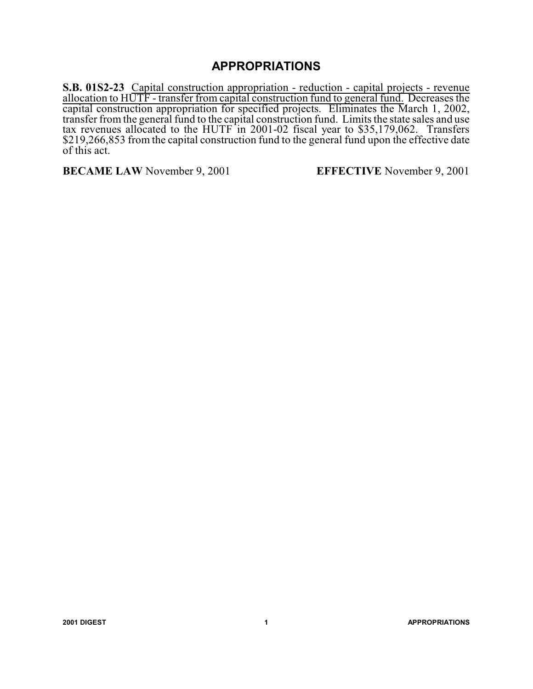## **APPROPRIATIONS**

**S.B. 01S2-23** Capital construction appropriation - reduction - capital projects - revenue allocation to HUTF - transfer from capital construction fund to general fund. Decreases the capital construction appropriation for specified projects. Eliminates the March 1, 2002, transfer from the general fund to the capital construction fund. Limits the state sales and use tax revenues allocated to the HUTF in 2001-02 fiscal year to \$35,179,062. Transfers \$219,266,853 from the capital construction fund to the general fund upon the effective date of this act.

**BECAME LAW** November 9, 2001 **EFFECTIVE** November 9, 2001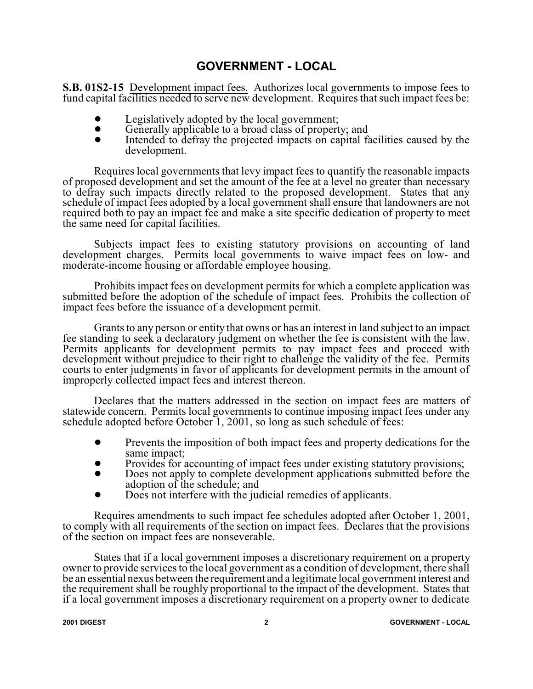#### **GOVERNMENT - LOCAL**

**S.B. 01S2-15** Development impact fees. Authorizes local governments to impose fees to fund capital facilities needed to serve new development. Requires that such impact fees be:

- Legislatively adopted by the local government;<br>• Generally annicable to a broad class of propert
- Generally applicable to a broad class of property; and<br>Intended to defray the projected impacts on conital for
- Intended to defray the projected impacts on capital facilities caused by the development.

Requires local governments that levy impact fees to quantify the reasonable impacts of proposed development and set the amount of the fee at a level no greater than necessary to defray such impacts directly related to the proposed development. States that any schedule of impact fees adopted by a local government shall ensure that landowners are not required both to pay an impact fee and make a site specific dedication of property to meet the same need for capital facilities.

Subjects impact fees to existing statutory provisions on accounting of land development charges. Permits local governments to waive impact fees on low- and moderate-income housing or affordable employee housing.

Prohibits impact fees on development permits for which a complete application was submitted before the adoption of the schedule of impact fees. Prohibits the collection of impact fees before the issuance of a development permit.

Grants to any person or entity that owns or has an interest in land subject to an impact fee standing to seek a declaratory judgment on whether the fee is consistent with the law. Permits applicants for development permits to pay impact fees and proceed with development without prejudice to their right to challenge the validity of the fee. Permits courts to enter judgments in favor of applicants for development permits in the amount of improperly collected impact fees and interest thereon.

Declares that the matters addressed in the section on impact fees are matters of statewide concern. Permits local governments to continue imposing impact fees under any schedule adopted before October 1, 2001, so long as such schedule of fees:

- Prevents the imposition of both impact fees and property dedications for the same impact;
- Provides for accounting of impact fees under existing statutory provisions;<br>
Poes not apply to complete development applications submitted before the
- Does not apply to complete development applications submitted before the adoption of the schedule; and
- Does not interfere with the judicial remedies of applicants.

Requires amendments to such impact fee schedules adopted after October 1, 2001, to comply with all requirements of the section on impact fees. Declares that the provisions of the section on impact fees are nonseverable.

States that if a local government imposes a discretionary requirement on a property owner to provide services to the local government as a condition of development, there shall be an essential nexus between the requirement and a legitimate local government interest and the requirement shall be roughly proportional to the impact of the development. States that if a local government imposes a discretionary requirement on a property owner to dedicate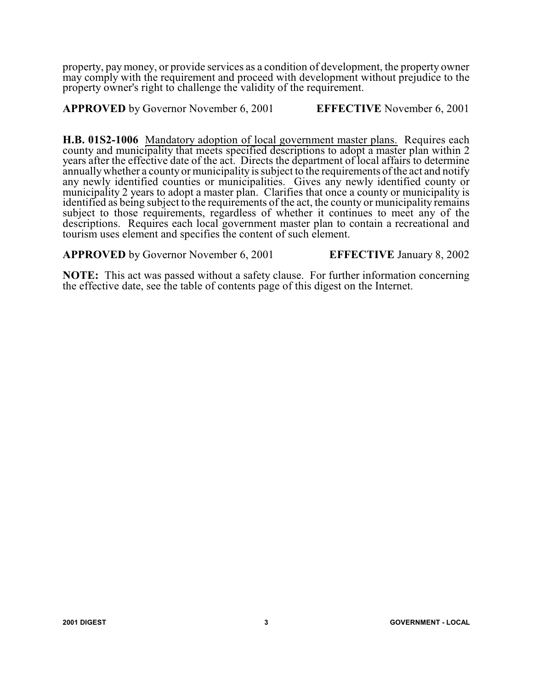property, paymoney, or provide services as a condition of development, the property owner may comply with the requirement and proceed with development without prejudice to the property owner's right to challenge the validity of the requirement.

**APPROVED** by Governor November 6, 2001 **EFFECTIVE** November 6, 2001

**H.B. 01S2-1006** Mandatory adoption of local government master plans. Requires each county and municipality that meets specified descriptions to adopt a master plan within 2 years after the effective date of the act. Directs the department of local affairs to determine annuallywhether a county or municipality is subject to the requirements ofthe act and notify any newly identified counties or municipalities. Gives any newly identified county or municipality 2 years to adopt a master plan. Clarifies that once a county or municipality is identified as being subject to the requirements of the act, the county or municipality remains subject to those requirements, regardless of whether it continues to meet any of the descriptions. Requires each local government master plan to contain a recreational and tourism uses element and specifies the content of such element.

**APPROVED** by Governor November 6, 2001 **EFFECTIVE** January 8, 2002

**NOTE:** This act was passed without a safety clause. For further information concerning the effective date, see the table of contents page of this digest on the Internet.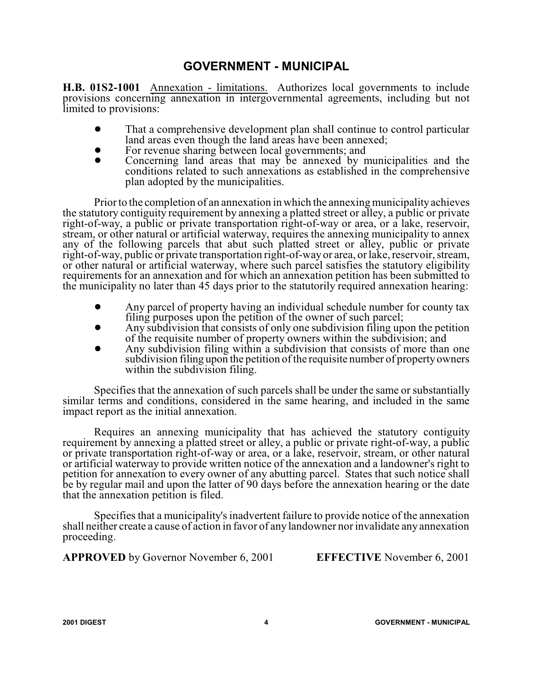#### **GOVERNMENT - MUNICIPAL**

**H.B. 01S2-1001** Annexation - limitations. Authorizes local governments to include provisions concerning annexation in intergovernmental agreements, including but not limited to provisions:

- That a comprehensive development plan shall continue to control particular land areas even though the land areas have been annexed;
- For revenue sharing between local governments; and<br>• Concerning land areas that may be annexed by n
- Concerning land areas that may be annexed by municipalities and the conditions related to such annexations as established in the comprehensive plan adopted by the municipalities.

Prior to the completion of an annexation in which the annexing municipalityachieves the statutory contiguity requirement by annexing a platted street or alley, a public or private right-of-way, a public or private transportation right-of-way or area, or a lake, reservoir, stream, or other natural or artificial waterway, requires the annexing municipality to annex any of the following parcels that abut such platted street or alley, public or private right-of-way, public or private transportation right-of-way or area, or lake, reservoir, stream, or other natural or artificial waterway, where such parcel satisfies the statutory eligibility requirements for an annexation and for which an annexation petition has been submitted to the municipality no later than 45 days prior to the statutorily required annexation hearing:

- ! Any parcel of property having an individual schedule number for county tax filing purposes upon the petition of the owner of such parcel;
- ! Any subdivision that consists of only one subdivision filing upon the petition of the requisite number of property owners within the subdivision; and
- Any subdivision filing within a subdivision that consists of more than one subdivision filing upon the petition of the requisite number of property owners within the subdivision filing.

Specifies that the annexation of such parcels shall be under the same or substantially similar terms and conditions, considered in the same hearing, and included in the same impact report as the initial annexation.

Requires an annexing municipality that has achieved the statutory contiguity requirement by annexing a platted street or alley, a public or private right-of-way, a public or private transportation right-of-way or area, or a lake, reservoir, stream, or other natural or artificial waterway to provide written notice of the annexation and a landowner's right to petition for annexation to every owner of any abutting parcel. States that such notice shall be by regular mail and upon the latter of 90 days before the annexation hearing or the date that the annexation petition is filed.

Specifies that a municipality's inadvertent failure to provide notice of the annexation shall neither create a cause of action in favor of any landowner nor invalidate anyannexation proceeding.

**APPROVED** by Governor November 6, 2001 **EFFECTIVE** November 6, 2001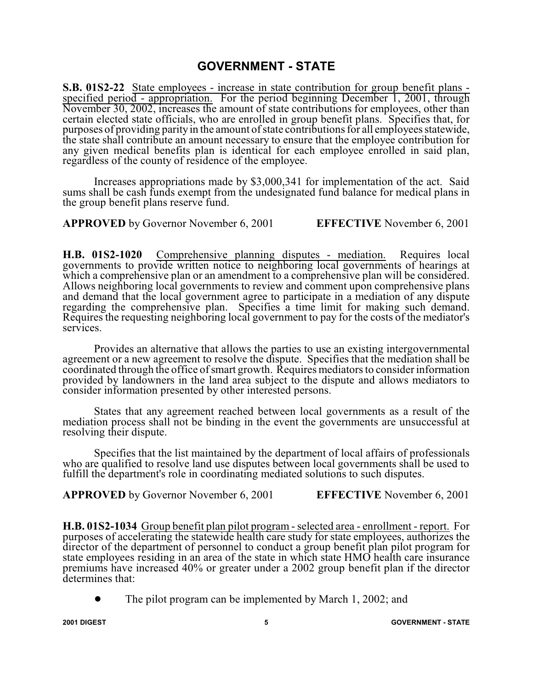#### **GOVERNMENT - STATE**

**S.B. 01S2-22** State employees - increase in state contribution for group benefit plans specified period - appropriation. For the period beginning December 1, 2001, through November 30, 2002, increases the amount of state contributions for employees, other than certain elected state officials, who are enrolled in group benefit plans. Specifies that, for purposes of providing parityin the amount ofstate contributions for all employees statewide, the state shall contribute an amount necessary to ensure that the employee contribution for any given medical benefits plan is identical for each employee enrolled in said plan, regardless of the county of residence of the employee.

Increases appropriations made by \$3,000,341 for implementation of the act. Said sums shall be cash funds exempt from the undesignated fund balance for medical plans in the group benefit plans reserve fund.

**APPROVED** by Governor November 6, 2001 **EFFECTIVE** November 6, 2001

**H.B. 01S2-1020** Comprehensive planning disputes - mediation. Requires local governments to provide written notice to neighboring local governments of hearings at which a comprehensive plan or an amendment to a comprehensive plan will be considered. Allows neighboring local governments to review and comment upon comprehensive plans and demand that the local government agree to participate in a mediation of any dispute regarding the comprehensive plan. Specifies a time limit for making such demand. Requires the requesting neighboring local government to pay for the costs of the mediator's services.

Provides an alternative that allows the parties to use an existing intergovernmental agreement or a new agreement to resolve the dispute. Specifies that the mediation shall be coordinated through the office ofsmart growth. Requires mediators to consider information provided by landowners in the land area subject to the dispute and allows mediators to consider information presented by other interested persons.

States that any agreement reached between local governments as a result of the mediation process shall not be binding in the event the governments are unsuccessful at resolving their dispute.

Specifies that the list maintained by the department of local affairs of professionals who are qualified to resolve land use disputes between local governments shall be used to fulfill the department's role in coordinating mediated solutions to such disputes.

**APPROVED** by Governor November 6, 2001 **EFFECTIVE** November 6, 2001

**H.B. 01S2-1034** Group benefit plan pilot program - selected area - enrollment - report. For purposes of accelerating the statewide health care study for state employees, authorizes the director of the department of personnel to conduct a group benefit plan pilot program for state employees residing in an area of the state in which state HMO health care insurance premiums have increased 40% or greater under a 2002 group benefit plan if the director determines that:

The pilot program can be implemented by March 1, 2002; and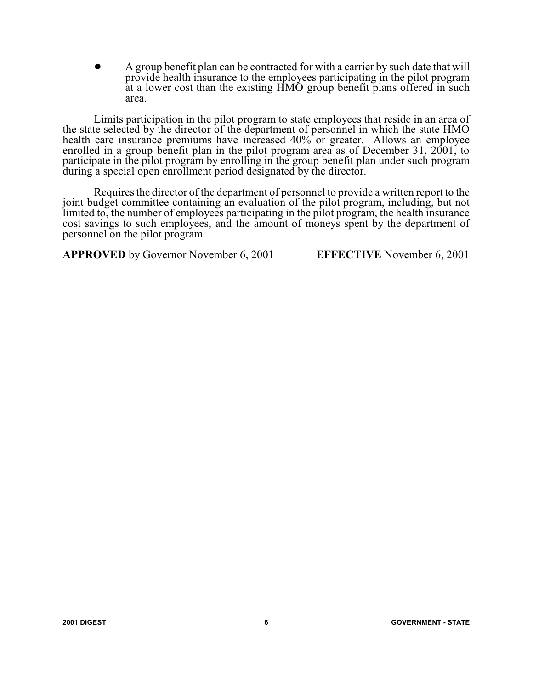! A group benefit plan can be contracted for with a carrier by such date that will provide health insurance to the employees participating in the pilot program at a lower cost than the existing HMO group benefit plans offered in such area.

Limits participation in the pilot program to state employees that reside in an area of the state selected by the director of the department of personnel in which the state HMO health care insurance premiums have increased 40% or greater. Allows an employee enrolled in a group benefit plan in the pilot program area as of December 31, 2001, to participate in the pilot program by enrolling in the group benefit plan under such program during a special open enrollment period designated by the director.

Requires the director of the department of personnel to provide a written report to the joint budget committee containing an evaluation of the pilot program, including, but not limited to, the number of employees participating in the pilot program, the health insurance cost savings to such employees, and the amount of moneys spent by the department of personnel on the pilot program.

**APPROVED** by Governor November 6, 2001 **EFFECTIVE** November 6, 2001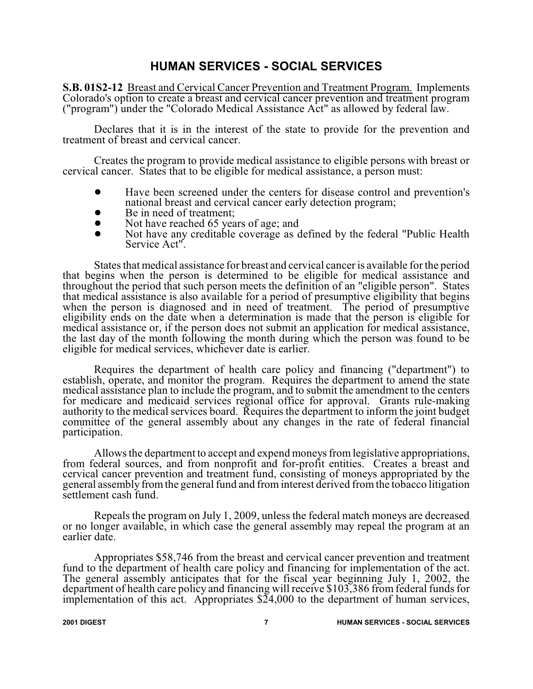#### **HUMAN SERVICES - SOCIAL SERVICES**

**S.B. 01S2-12** Breast and Cervical Cancer Prevention and Treatment Program. Implements Colorado's option to create a breast and cervical cancer prevention and treatment program ("program") under the "Colorado Medical Assistance Act" as allowed by federal law.

Declares that it is in the interest of the state to provide for the prevention and treatment of breast and cervical cancer.

Creates the program to provide medical assistance to eligible persons with breast or cervical cancer. States that to be eligible for medical assistance, a person must:

- ! Have been screened under the centers for disease control and prevention's national breast and cervical cancer early detection program;
- Be in need of treatment;<br>• Not have reached 65 years
- Not have reached 65 years of age; and<br>• Not have any creditable coverage as d
- ! Not have any creditable coverage as defined by the federal "Public Health Service Act".

States that medical assistance for breast and cervical cancer is available for the period that begins when the person is determined to be eligible for medical assistance and throughout the period that such person meets the definition of an "eligible person". States that medical assistance is also available for a period of presumptive eligibility that begins when the person is diagnosed and in need of treatment. The period of presumptive eligibility ends on the date when a determination is made that the person is eligible for medical assistance or, if the person does not submit an application for medical assistance, the last day of the month following the month during which the person was found to be eligible for medical services, whichever date is earlier.

Requires the department of health care policy and financing ("department") to establish, operate, and monitor the program. Requires the department to amend the state medical assistance plan to include the program, and to submit the amendment to the centers for medicare and medicaid services regional office for approval. Grants rule-making authority to the medical services board. Requires the department to inform the joint budget committee of the general assembly about any changes in the rate of federal financial participation.

Allows the department to accept and expend moneys fromlegislative appropriations, from federal sources, and from nonprofit and for-profit entities. Creates a breast and cervical cancer prevention and treatment fund, consisting of moneys appropriated by the general assembly fromthe general fund and from interest derived fromthe tobacco litigation settlement cash fund.

Repeals the program on July 1, 2009, unless the federal match moneys are decreased or no longer available, in which case the general assembly may repeal the program at an earlier date.

Appropriates \$58,746 from the breast and cervical cancer prevention and treatment fund to the department of health care policy and financing for implementation of the act. The general assembly anticipates that for the fiscal year beginning July 1, 2002, the department of health care policy and financing will receive \$103,386 from federal funds for implementation of this act. Appropriates  $\S$ 24,000 to the department of human services,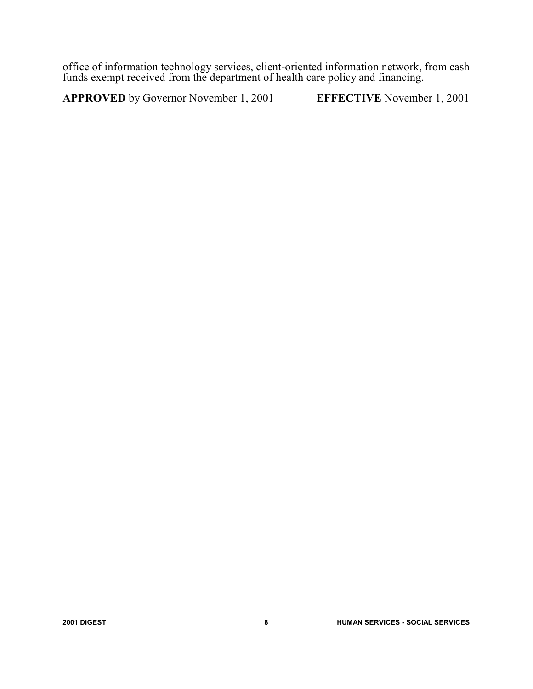office of information technology services, client-oriented information network, from cash funds exempt received from the department of health care policy and financing.

**APPROVED** by Governor November 1, 2001 **EFFECTIVE** November 1, 2001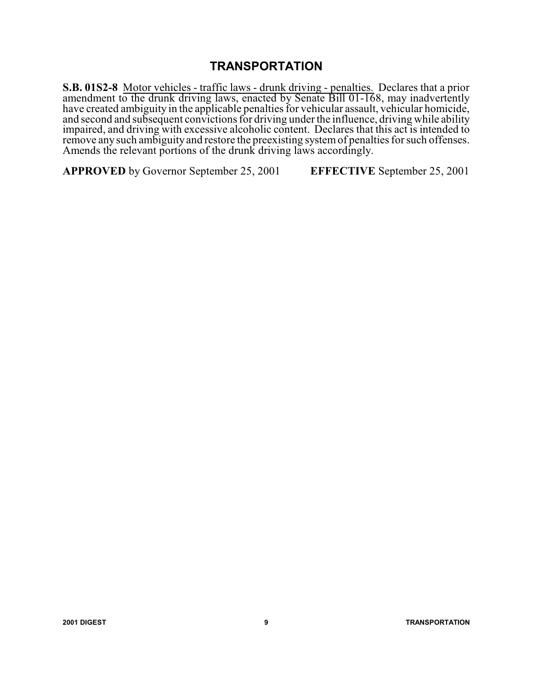## **TRANSPORTATION**

**S.B. 01S2-8** Motor vehicles - traffic laws - drunk driving - penalties. Declares that a prior amendment to the drunk driving laws, enacted by Senate Bill 01-168, may inadvertently have created ambiguity in the applicable penalties for vehicular assault, vehicular homicide, and second and subsequent convictions for driving under the influence, driving while ability impaired, and driving with excessive alcoholic content. Declares that this act is intended to remove anysuch ambiguity and restore the preexisting systemof penalties for such offenses. Amends the relevant portions of the drunk driving laws accordingly.

**APPROVED** by Governor September 25, 2001 **EFFECTIVE** September 25, 2001